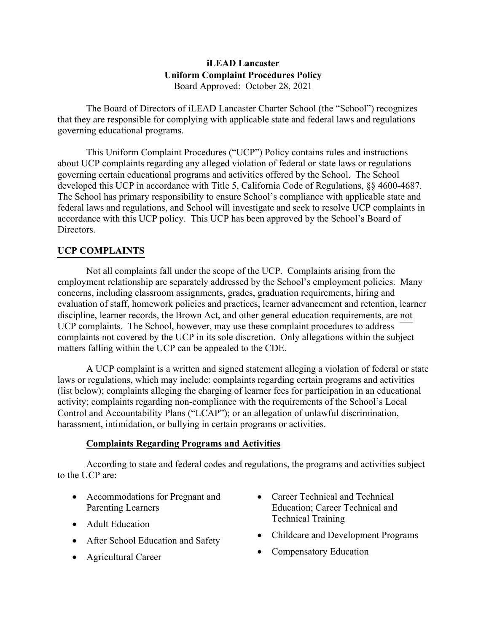## **iLEAD Lancaster Uniform Complaint Procedures Policy**  Board Approved: October 28, 2021

The Board of Directors of iLEAD Lancaster Charter School (the "School") recognizes that they are responsible for complying with applicable state and federal laws and regulations governing educational programs.

This Uniform Complaint Procedures ("UCP") Policy contains rules and instructions about UCP complaints regarding any alleged violation of federal or state laws or regulations governing certain educational programs and activities offered by the School. The School developed this UCP in accordance with Title 5, California Code of Regulations, §§ 4600-4687. The School has primary responsibility to ensure School's compliance with applicable state and federal laws and regulations, and School will investigate and seek to resolve UCP complaints in accordance with this UCP policy. This UCP has been approved by the School's Board of Directors.

# **UCP COMPLAINTS**

Not all complaints fall under the scope of the UCP. Complaints arising from the employment relationship are separately addressed by the School's employment policies. Many concerns, including classroom assignments, grades, graduation requirements, hiring and evaluation of staff, homework policies and practices, learner advancement and retention, learner discipline, learner records, the Brown Act, and other general education requirements, are not UCP complaints. The School, however, may use these complaint procedures to address complaints not covered by the UCP in its sole discretion. Only allegations within the subject matters falling within the UCP can be appealed to the CDE.

A UCP complaint is a written and signed statement alleging a violation of federal or state laws or regulations, which may include: complaints regarding certain programs and activities (list below); complaints alleging the charging of learner fees for participation in an educational activity; complaints regarding non-compliance with the requirements of the School's Local Control and Accountability Plans ("LCAP"); or an allegation of unlawful discrimination, harassment, intimidation, or bullying in certain programs or activities.

## **Complaints Regarding Programs and Activities**

According to state and federal codes and regulations, the programs and activities subject to the UCP are:

- Accommodations for Pregnant and Parenting Learners
- Adult Education
- After School Education and Safety
- Agricultural Career
- Career Technical and Technical Education; Career Technical and Technical Training
- Childcare and Development Programs
- Compensatory Education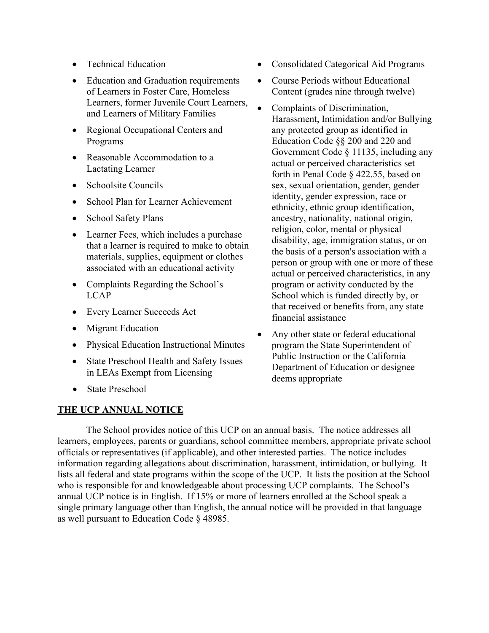- Technical Education
- Education and Graduation requirements of Learners in Foster Care, Homeless Learners, former Juvenile Court Learners, and Learners of Military Families
- Regional Occupational Centers and Programs
- Reasonable Accommodation to a Lactating Learner
- Schoolsite Councils
- School Plan for Learner Achievement
- School Safety Plans
- Learner Fees, which includes a purchase that a learner is required to make to obtain materials, supplies, equipment or clothes associated with an educational activity
- Complaints Regarding the School's LCAP
- Every Learner Succeeds Act
- Migrant Education
- Physical Education Instructional Minutes
- State Preschool Health and Safety Issues in LEAs Exempt from Licensing
- State Preschool

## **THE UCP ANNUAL NOTICE**

- Consolidated Categorical Aid Programs
- Course Periods without Educational Content (grades nine through twelve)
- Complaints of Discrimination, Harassment, Intimidation and/or Bullying any protected group as identified in Education Code §§ 200 and 220 and Government Code § 11135, including any actual or perceived characteristics set forth in Penal Code § 422.55, based on sex, sexual orientation, gender, gender identity, gender expression, race or ethnicity, ethnic group identification, ancestry, nationality, national origin, religion, color, mental or physical disability, age, immigration status, or on the basis of a person's association with a person or group with one or more of these actual or perceived characteristics, in any program or activity conducted by the School which is funded directly by, or that received or benefits from, any state financial assistance
- Any other state or federal educational program the State Superintendent of Public Instruction or the California Department of Education or designee deems appropriate

The School provides notice of this UCP on an annual basis. The notice addresses all learners, employees, parents or guardians, school committee members, appropriate private school officials or representatives (if applicable), and other interested parties. The notice includes information regarding allegations about discrimination, harassment, intimidation, or bullying. It lists all federal and state programs within the scope of the UCP. It lists the position at the School who is responsible for and knowledgeable about processing UCP complaints. The School's annual UCP notice is in English. If 15% or more of learners enrolled at the School speak a single primary language other than English, the annual notice will be provided in that language as well pursuant to Education Code § 48985.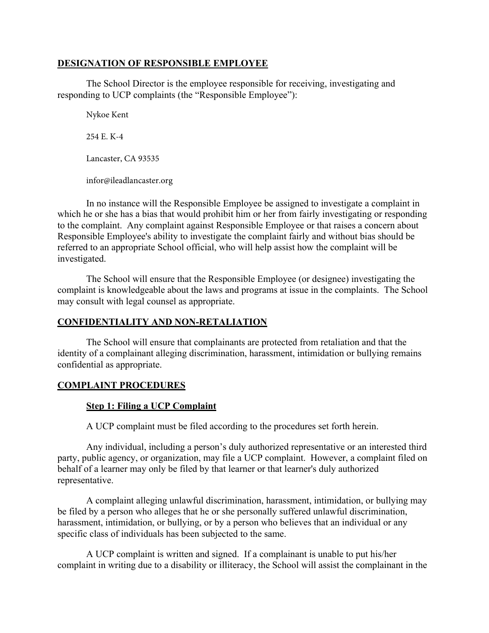## **DESIGNATION OF RESPONSIBLE EMPLOYEE**

The School Director is the employee responsible for receiving, investigating and responding to UCP complaints (the "Responsible Employee"):

Nykoe Kent

254 E. K-4

Lancaster, CA 93535

infor@ileadlancaster.org

In no instance will the Responsible Employee be assigned to investigate a complaint in which he or she has a bias that would prohibit him or her from fairly investigating or responding to the complaint. Any complaint against Responsible Employee or that raises a concern about Responsible Employee's ability to investigate the complaint fairly and without bias should be referred to an appropriate School official, who will help assist how the complaint will be investigated.

The School will ensure that the Responsible Employee (or designee) investigating the complaint is knowledgeable about the laws and programs at issue in the complaints. The School may consult with legal counsel as appropriate.

# **CONFIDENTIALITY AND NON-RETALIATION**

The School will ensure that complainants are protected from retaliation and that the identity of a complainant alleging discrimination, harassment, intimidation or bullying remains confidential as appropriate.

# **COMPLAINT PROCEDURES**

# **Step 1: Filing a UCP Complaint**

A UCP complaint must be filed according to the procedures set forth herein.

Any individual, including a person's duly authorized representative or an interested third party, public agency, or organization, may file a UCP complaint. However, a complaint filed on behalf of a learner may only be filed by that learner or that learner's duly authorized representative.

A complaint alleging unlawful discrimination, harassment, intimidation, or bullying may be filed by a person who alleges that he or she personally suffered unlawful discrimination, harassment, intimidation, or bullying, or by a person who believes that an individual or any specific class of individuals has been subjected to the same.

A UCP complaint is written and signed. If a complainant is unable to put his/her complaint in writing due to a disability or illiteracy, the School will assist the complainant in the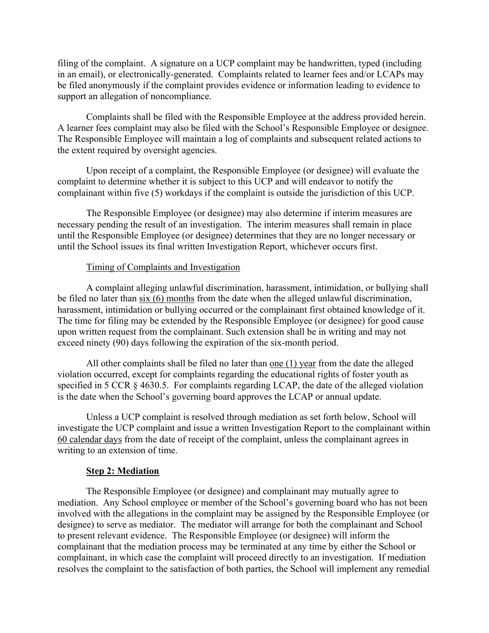filing of the complaint. A signature on a UCP complaint may be handwritten, typed (including in an email), or electronically-generated. Complaints related to learner fees and/or LCAPs may be filed anonymously if the complaint provides evidence or information leading to evidence to support an allegation of noncompliance.

Complaints shall be filed with the Responsible Employee at the address provided herein. A learner fees complaint may also be filed with the School's Responsible Employee or designee. The Responsible Employee will maintain a log of complaints and subsequent related actions to the extent required by oversight agencies.

Upon receipt of a complaint, the Responsible Employee (or designee) will evaluate the complaint to determine whether it is subject to this UCP and will endeavor to notify the complainant within five (5) workdays if the complaint is outside the jurisdiction of this UCP.

The Responsible Employee (or designee) may also determine if interim measures are necessary pending the result of an investigation. The interim measures shall remain in place until the Responsible Employee (or designee) determines that they are no longer necessary or until the School issues its final written Investigation Report, whichever occurs first.

## Timing of Complaints and Investigation

A complaint alleging unlawful discrimination, harassment, intimidation, or bullying shall be filed no later than six (6) months from the date when the alleged unlawful discrimination, harassment, intimidation or bullying occurred or the complainant first obtained knowledge of it. The time for filing may be extended by the Responsible Employee (or designee) for good cause upon written request from the complainant. Such extension shall be in writing and may not exceed ninety (90) days following the expiration of the six-month period.

All other complaints shall be filed no later than one (1) year from the date the alleged violation occurred, except for complaints regarding the educational rights of foster youth as specified in 5 CCR § 4630.5. For complaints regarding LCAP, the date of the alleged violation is the date when the School's governing board approves the LCAP or annual update.

Unless a UCP complaint is resolved through mediation as set forth below, School will investigate the UCP complaint and issue a written Investigation Report to the complainant within 60 calendar days from the date of receipt of the complaint, unless the complainant agrees in writing to an extension of time.

### **Step 2: Mediation**

The Responsible Employee (or designee) and complainant may mutually agree to mediation. Any School employee or member of the School's governing board who has not been involved with the allegations in the complaint may be assigned by the Responsible Employee (or designee) to serve as mediator. The mediator will arrange for both the complainant and School to present relevant evidence. The Responsible Employee (or designee) will inform the complainant that the mediation process may be terminated at any time by either the School or complainant, in which case the complaint will proceed directly to an investigation. If mediation resolves the complaint to the satisfaction of both parties, the School will implement any remedial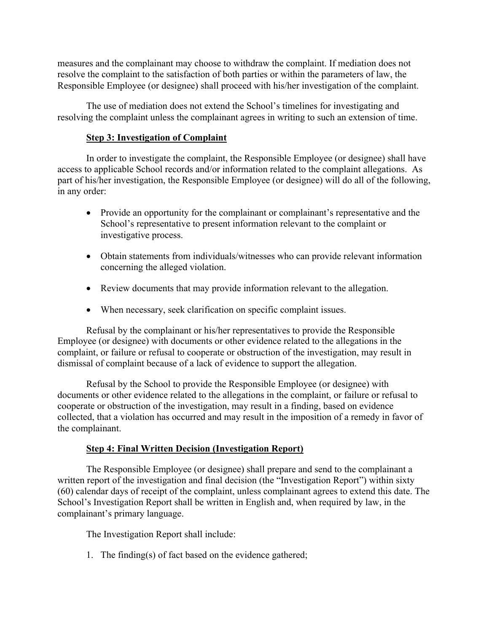measures and the complainant may choose to withdraw the complaint. If mediation does not resolve the complaint to the satisfaction of both parties or within the parameters of law, the Responsible Employee (or designee) shall proceed with his/her investigation of the complaint.

The use of mediation does not extend the School's timelines for investigating and resolving the complaint unless the complainant agrees in writing to such an extension of time.

## **Step 3: Investigation of Complaint**

In order to investigate the complaint, the Responsible Employee (or designee) shall have access to applicable School records and/or information related to the complaint allegations. As part of his/her investigation, the Responsible Employee (or designee) will do all of the following, in any order:

- Provide an opportunity for the complainant or complainant's representative and the School's representative to present information relevant to the complaint or investigative process.
- Obtain statements from individuals/witnesses who can provide relevant information concerning the alleged violation.
- Review documents that may provide information relevant to the allegation.
- When necessary, seek clarification on specific complaint issues.

Refusal by the complainant or his/her representatives to provide the Responsible Employee (or designee) with documents or other evidence related to the allegations in the complaint, or failure or refusal to cooperate or obstruction of the investigation, may result in dismissal of complaint because of a lack of evidence to support the allegation.

Refusal by the School to provide the Responsible Employee (or designee) with documents or other evidence related to the allegations in the complaint, or failure or refusal to cooperate or obstruction of the investigation, may result in a finding, based on evidence collected, that a violation has occurred and may result in the imposition of a remedy in favor of the complainant.

# **Step 4: Final Written Decision (Investigation Report)**

The Responsible Employee (or designee) shall prepare and send to the complainant a written report of the investigation and final decision (the "Investigation Report") within sixty (60) calendar days of receipt of the complaint, unless complainant agrees to extend this date. The School's Investigation Report shall be written in English and, when required by law, in the complainant's primary language.

The Investigation Report shall include:

1. The finding(s) of fact based on the evidence gathered;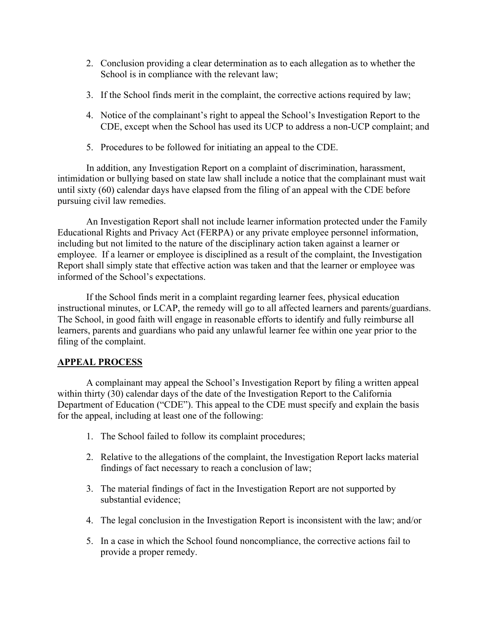- 2. Conclusion providing a clear determination as to each allegation as to whether the School is in compliance with the relevant law;
- 3. If the School finds merit in the complaint, the corrective actions required by law;
- 4. Notice of the complainant's right to appeal the School's Investigation Report to the CDE, except when the School has used its UCP to address a non-UCP complaint; and
- 5. Procedures to be followed for initiating an appeal to the CDE.

In addition, any Investigation Report on a complaint of discrimination, harassment, intimidation or bullying based on state law shall include a notice that the complainant must wait until sixty (60) calendar days have elapsed from the filing of an appeal with the CDE before pursuing civil law remedies.

An Investigation Report shall not include learner information protected under the Family Educational Rights and Privacy Act (FERPA) or any private employee personnel information, including but not limited to the nature of the disciplinary action taken against a learner or employee. If a learner or employee is disciplined as a result of the complaint, the Investigation Report shall simply state that effective action was taken and that the learner or employee was informed of the School's expectations.

If the School finds merit in a complaint regarding learner fees, physical education instructional minutes, or LCAP, the remedy will go to all affected learners and parents/guardians. The School, in good faith will engage in reasonable efforts to identify and fully reimburse all learners, parents and guardians who paid any unlawful learner fee within one year prior to the filing of the complaint.

## **APPEAL PROCESS**

A complainant may appeal the School's Investigation Report by filing a written appeal within thirty (30) calendar days of the date of the Investigation Report to the California Department of Education ("CDE"). This appeal to the CDE must specify and explain the basis for the appeal, including at least one of the following:

- 1. The School failed to follow its complaint procedures;
- 2. Relative to the allegations of the complaint, the Investigation Report lacks material findings of fact necessary to reach a conclusion of law;
- 3. The material findings of fact in the Investigation Report are not supported by substantial evidence;
- 4. The legal conclusion in the Investigation Report is inconsistent with the law; and/or
- 5. In a case in which the School found noncompliance, the corrective actions fail to provide a proper remedy.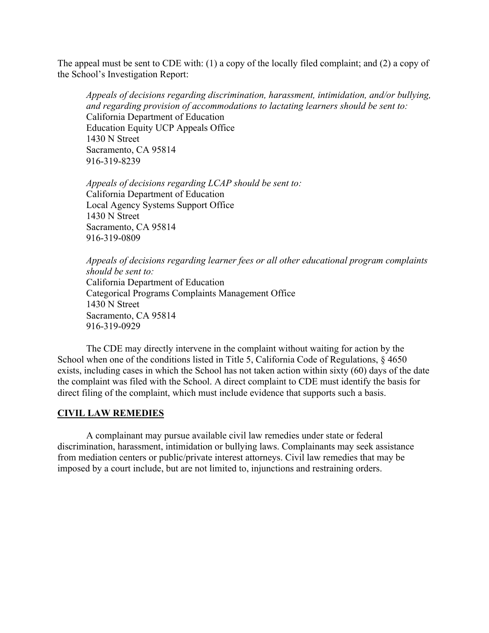The appeal must be sent to CDE with: (1) a copy of the locally filed complaint; and (2) a copy of the School's Investigation Report:

*Appeals of decisions regarding discrimination, harassment, intimidation, and/or bullying, and regarding provision of accommodations to lactating learners should be sent to:*  California Department of Education Education Equity UCP Appeals Office 1430 N Street Sacramento, CA 95814 916-319-8239

*Appeals of decisions regarding LCAP should be sent to:*  California Department of Education Local Agency Systems Support Office 1430 N Street Sacramento, CA 95814 916-319-0809

*Appeals of decisions regarding learner fees or all other educational program complaints should be sent to:*  California Department of Education Categorical Programs Complaints Management Office 1430 N Street Sacramento, CA 95814 916-319-0929

The CDE may directly intervene in the complaint without waiting for action by the School when one of the conditions listed in Title 5, California Code of Regulations, § 4650 exists, including cases in which the School has not taken action within sixty (60) days of the date the complaint was filed with the School. A direct complaint to CDE must identify the basis for direct filing of the complaint, which must include evidence that supports such a basis.

#### **CIVIL LAW REMEDIES**

A complainant may pursue available civil law remedies under state or federal discrimination, harassment, intimidation or bullying laws. Complainants may seek assistance from mediation centers or public/private interest attorneys. Civil law remedies that may be imposed by a court include, but are not limited to, injunctions and restraining orders.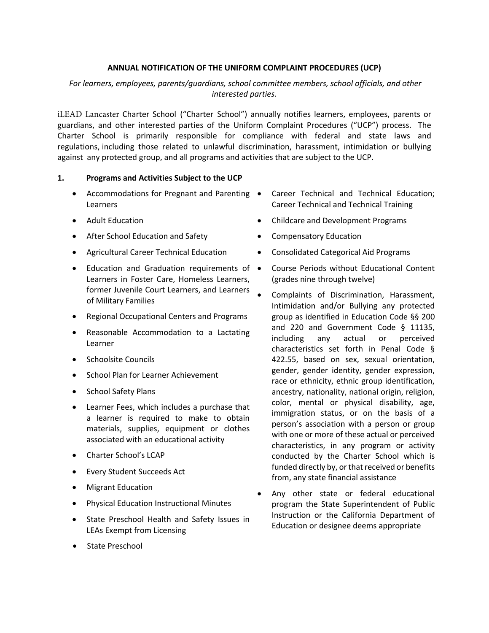### **ANNUAL NOTIFICATION OF THE UNIFORM COMPLAINT PROCEDURES (UCP)**

## *For learners, employees, parents/guardians, school committee members, school officials, and other interested parties.*

iLEAD Lancaster Charter School ("Charter School") annually notifies learners, employees, parents or guardians, and other interested parties of the Uniform Complaint Procedures ("UCP") process. The Charter School is primarily responsible for compliance with federal and state laws and regulations, including those related to unlawful discrimination, harassment, intimidation or bullying against any protected group, and all programs and activities that are subject to the UCP.

### **1. Programs and Activities Subject to the UCP**

- Accommodations for Pregnant and Parenting Learners
- Adult Education
- After School Education and Safety
- Agricultural Career Technical Education
- Education and Graduation requirements of Learners in Foster Care, Homeless Learners, former Juvenile Court Learners, and Learners of Military Families
- Regional Occupational Centers and Programs
- Reasonable Accommodation to a Lactating Learner
- Schoolsite Councils
- School Plan for Learner Achievement
- School Safety Plans
- Learner Fees, which includes a purchase that a learner is required to make to obtain materials, supplies, equipment or clothes associated with an educational activity
- Charter School's LCAP
- Every Student Succeeds Act
- Migrant Education
- Physical Education Instructional Minutes
- State Preschool Health and Safety Issues in LEAs Exempt from Licensing
- State Preschool
- Career Technical and Technical Education; Career Technical and Technical Training
- Childcare and Development Programs
- Compensatory Education
- Consolidated Categorical Aid Programs
- Course Periods without Educational Content (grades nine through twelve)
- Complaints of Discrimination, Harassment, Intimidation and/or Bullying any protected group as identified in Education Code §§ 200 and 220 and Government Code § 11135, including any actual or perceived characteristics set forth in Penal Code § 422.55, based on sex, sexual orientation, gender, gender identity, gender expression, race or ethnicity, ethnic group identification, ancestry, nationality, national origin, religion, color, mental or physical disability, age, immigration status, or on the basis of a person's association with a person or group with one or more of these actual or perceived characteristics, in any program or activity conducted by the Charter School which is funded directly by, or that received or benefits from, any state financial assistance
- Any other state or federal educational program the State Superintendent of Public Instruction or the California Department of Education or designee deems appropriate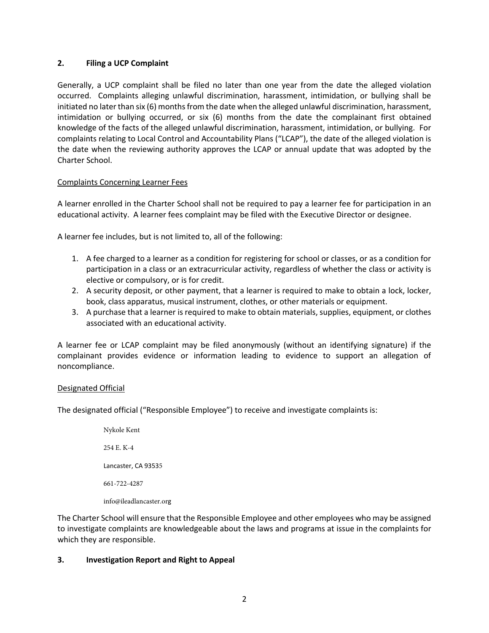## **2. Filing a UCP Complaint**

Generally, a UCP complaint shall be filed no later than one year from the date the alleged violation occurred. Complaints alleging unlawful discrimination, harassment, intimidation, or bullying shall be initiated no later than six (6) months from the date when the alleged unlawful discrimination, harassment, intimidation or bullying occurred, or six (6) months from the date the complainant first obtained knowledge of the facts of the alleged unlawful discrimination, harassment, intimidation, or bullying. For complaints relating to Local Control and Accountability Plans ("LCAP"), the date of the alleged violation is the date when the reviewing authority approves the LCAP or annual update that was adopted by the Charter School.

## Complaints Concerning Learner Fees

A learner enrolled in the Charter School shall not be required to pay a learner fee for participation in an educational activity. A learner fees complaint may be filed with the Executive Director or designee.

A learner fee includes, but is not limited to, all of the following:

- 1. A fee charged to a learner as a condition for registering for school or classes, or as a condition for participation in a class or an extracurricular activity, regardless of whether the class or activity is elective or compulsory, or is for credit.
- 2. A security deposit, or other payment, that a learner is required to make to obtain a lock, locker, book, class apparatus, musical instrument, clothes, or other materials or equipment.
- 3. A purchase that a learner is required to make to obtain materials, supplies, equipment, or clothes associated with an educational activity.

A learner fee or LCAP complaint may be filed anonymously (without an identifying signature) if the complainant provides evidence or information leading to evidence to support an allegation of noncompliance.

### Designated Official

The designated official ("Responsible Employee") to receive and investigate complaints is:

Nykole Kent 254 E. K-4 Lancaster, CA 93535 661-722-4287 info@ileadlancaster.org

The Charter School will ensure that the Responsible Employee and other employees who may be assigned to investigate complaints are knowledgeable about the laws and programs at issue in the complaints for which they are responsible.

### **3. Investigation Report and Right to Appeal**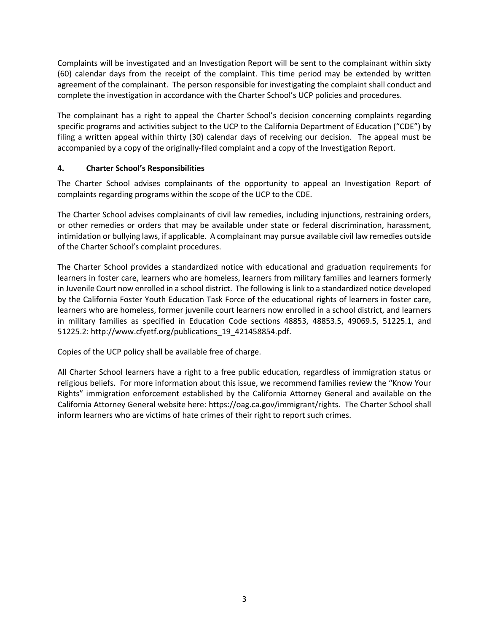Complaints will be investigated and an Investigation Report will be sent to the complainant within sixty (60) calendar days from the receipt of the complaint. This time period may be extended by written agreement of the complainant. The person responsible for investigating the complaint shall conduct and complete the investigation in accordance with the Charter School's UCP policies and procedures.

The complainant has a right to appeal the Charter School's decision concerning complaints regarding specific programs and activities subject to the UCP to the California Department of Education ("CDE") by filing a written appeal within thirty (30) calendar days of receiving our decision. The appeal must be accompanied by a copy of the originally-filed complaint and a copy of the Investigation Report.

## **4. Charter School's Responsibilities**

The Charter School advises complainants of the opportunity to appeal an Investigation Report of complaints regarding programs within the scope of the UCP to the CDE.

The Charter School advises complainants of civil law remedies, including injunctions, restraining orders, or other remedies or orders that may be available under state or federal discrimination, harassment, intimidation or bullying laws, if applicable. A complainant may pursue available civil law remedies outside of the Charter School's complaint procedures.

The Charter School provides a standardized notice with educational and graduation requirements for learners in foster care, learners who are homeless, learners from military families and learners formerly in Juvenile Court now enrolled in a school district. The following is link to a standardized notice developed by the California Foster Youth Education Task Force of the educational rights of learners in foster care, learners who are homeless, former juvenile court learners now enrolled in a school district, and learners in military families as specified in Education Code sections 48853, 48853.5, 49069.5, 51225.1, and 51225.2: http://www.cfyetf.org/publications\_19\_421458854.pdf.

Copies of the UCP policy shall be available free of charge.

All Charter School learners have a right to a free public education, regardless of immigration status or religious beliefs. For more information about this issue, we recommend families review the "Know Your Rights" immigration enforcement established by the California Attorney General and available on the California Attorney General website here: https://oag.ca.gov/immigrant/rights. The Charter School shall inform learners who are victims of hate crimes of their right to report such crimes.